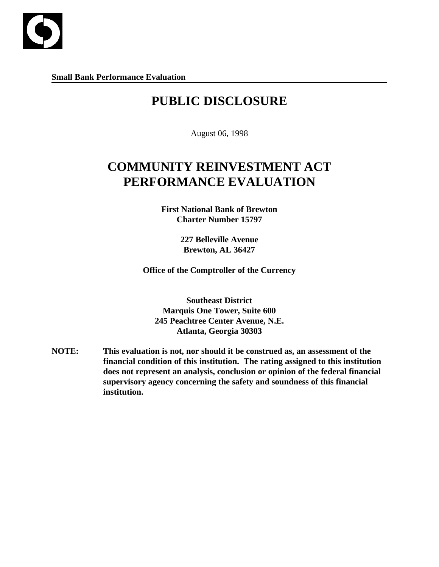

**Small Bank Performance Evaluation**

## **PUBLIC DISCLOSURE**

August 06, 1998

# **COMMUNITY REINVESTMENT ACT PERFORMANCE EVALUATION**

**First National Bank of Brewton Charter Number 15797**

> **227 Belleville Avenue Brewton, AL 36427**

**Office of the Comptroller of the Currency**

**Southeast District Marquis One Tower, Suite 600 245 Peachtree Center Avenue, N.E. Atlanta, Georgia 30303**

**NOTE: This evaluation is not, nor should it be construed as, an assessment of the financial condition of this institution. The rating assigned to this institution does not represent an analysis, conclusion or opinion of the federal financial supervisory agency concerning the safety and soundness of this financial institution.**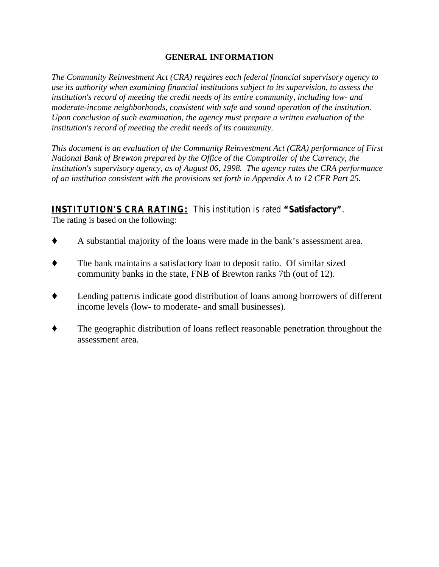## **GENERAL INFORMATION**

*The Community Reinvestment Act (CRA) requires each federal financial supervisory agency to use its authority when examining financial institutions subject to its supervision, to assess the institution's record of meeting the credit needs of its entire community, including low- and moderate-income neighborhoods, consistent with safe and sound operation of the institution. Upon conclusion of such examination, the agency must prepare a written evaluation of the institution's record of meeting the credit needs of its community.* 

*This document is an evaluation of the Community Reinvestment Act (CRA) performance of First National Bank of Brewton prepared by the Office of the Comptroller of the Currency, the institution's supervisory agency, as of August 06, 1998. The agency rates the CRA performance of an institution consistent with the provisions set forth in Appendix A to 12 CFR Part 25.*

## **INSTITUTION'S CRA RATING:** This institution is rated **"Satisfactory"**.

The rating is based on the following:

- $\blacklozenge$  A substantial majority of the loans were made in the bank's assessment area.
- $\blacklozenge$  The bank maintains a satisfactory loan to deposit ratio. Of similar sized community banks in the state, FNB of Brewton ranks 7th (out of 12).
- Lending patterns indicate good distribution of loans among borrowers of different income levels (low- to moderate- and small businesses).
- The geographic distribution of loans reflect reasonable penetration throughout the assessment area.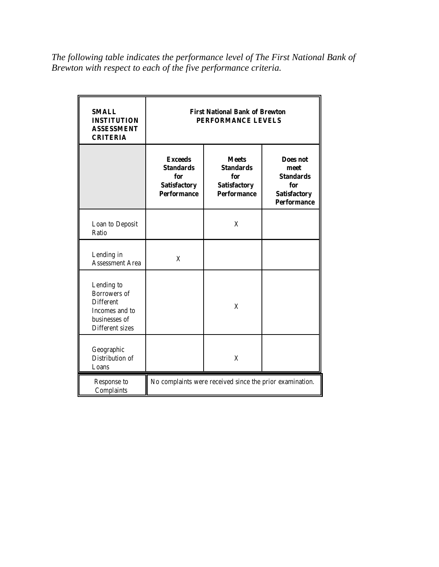*The following table indicates the performance level of The First National Bank of Brewton with respect to each of the five performance criteria.*

| <b>SMALL</b><br><b>INSTITUTION</b><br><b>ASSESSMENT</b><br><b>CRITERIA</b>                           | <b>First National Bank of Brewton</b><br>PERFORMANCE LEVELS                            |                                                                                          |  |  |  |  |
|------------------------------------------------------------------------------------------------------|----------------------------------------------------------------------------------------|------------------------------------------------------------------------------------------|--|--|--|--|
|                                                                                                      | <b>Exceeds</b><br><b>Standards</b><br>for<br><b>Satisfactory</b><br><b>Performance</b> | Does not<br>meet<br><b>Standards</b><br>for<br><b>Satisfactory</b><br><b>Performance</b> |  |  |  |  |
| Loan to Deposit<br>Ratio                                                                             |                                                                                        | X                                                                                        |  |  |  |  |
| Lending in<br><b>Assessment Area</b>                                                                 | X                                                                                      |                                                                                          |  |  |  |  |
| Lending to<br>Borrowers of<br><b>Different</b><br>Incomes and to<br>businesses of<br>Different sizes |                                                                                        | X                                                                                        |  |  |  |  |
| Geographic<br>Distribution of<br>Loans                                                               |                                                                                        | X                                                                                        |  |  |  |  |
| Response to<br>Complaints                                                                            | No complaints were received since the prior examination.                               |                                                                                          |  |  |  |  |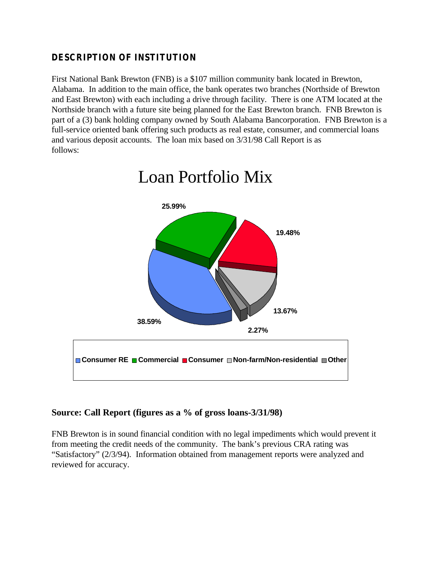## **DESCRIPTION OF INSTITUTION**

First National Bank Brewton (FNB) is a \$107 million community bank located in Brewton, Alabama. In addition to the main office, the bank operates two branches (Northside of Brewton and East Brewton) with each including a drive through facility. There is one ATM located at the Northside branch with a future site being planned for the East Brewton branch. FNB Brewton is part of a (3) bank holding company owned by South Alabama Bancorporation. FNB Brewton is a full-service oriented bank offering such products as real estate, consumer, and commercial loans and various deposit accounts. The loan mix based on 3/31/98 Call Report is as follows:



# Loan Portfolio Mix

## **Source: Call Report (figures as a % of gross loans-3/31/98)**

FNB Brewton is in sound financial condition with no legal impediments which would prevent it from meeting the credit needs of the community. The bank's previous CRA rating was "Satisfactory" (2/3/94). Information obtained from management reports were analyzed and reviewed for accuracy.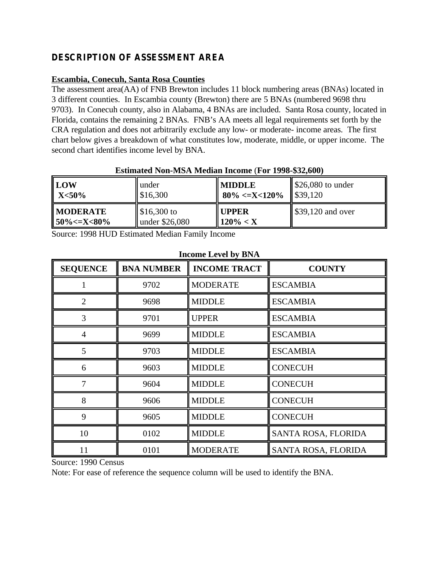## **DESCRIPTION OF ASSESSMENT AREA**

## **Escambia, Conecuh, Santa Rosa Counties**

The assessment area(AA) of FNB Brewton includes 11 block numbering areas (BNAs) located in 3 different counties. In Escambia county (Brewton) there are 5 BNAs (numbered 9698 thru 9703). In Conecuh county, also in Alabama, 4 BNAs are included. Santa Rosa county, located in Florida, contains the remaining 2 BNAs. FNB's AA meets all legal requirements set forth by the CRA regulation and does not arbitrarily exclude any low- or moderate- income areas. The first chart below gives a breakdown of what constitutes low, moderate, middle, or upper income. The second chart identifies income level by BNA.

| ESUMRU TWII-MJ/L MCGRII MCOMC (1 01 1770-\$24,000) |                          |                      |                                         |  |  |
|----------------------------------------------------|--------------------------|----------------------|-----------------------------------------|--|--|
| $\mathbf{LOW}$                                     | under                    | <b>MIDDLE</b>        | $\blacktriangleright$ \$26,080 to under |  |  |
| $\mathbf{X}$ $<$ 50%                               | \$16,300                 | $\vert$ 80% <=X<120% | \$39,120                                |  |  |
| <b>MODERATE</b>                                    | $\frac{\$16,300}{\$}$ to | <b>UPPER</b>         | $\frac{1}{2}$ \$39,120 and over         |  |  |
| $\parallel$ 50% <= X < 80%                         | under \$26,080           | $120\% < X$          |                                         |  |  |

## **Estimated Non-MSA Median Income** (**For 1998-\$32,600)**

Source: 1998 HUD Estimated Median Family Income

| <b>SEQUENCE</b> | <b>BNA NUMBER</b> | <b>INCOME TRACT</b> | <b>COUNTY</b>       |
|-----------------|-------------------|---------------------|---------------------|
|                 | 9702              | <b>MODERATE</b>     | <b>ESCAMBIA</b>     |
| $\overline{2}$  | 9698              | <b>MIDDLE</b>       | <b>ESCAMBIA</b>     |
| 3               | 9701              | <b>UPPER</b>        | <b>ESCAMBIA</b>     |
| $\overline{4}$  | 9699              | <b>MIDDLE</b>       | <b>ESCAMBIA</b>     |
| 5               | 9703              | <b>MIDDLE</b>       | <b>ESCAMBIA</b>     |
| 6               | 9603              | <b>MIDDLE</b>       | <b>CONECUH</b>      |
| 7               | 9604              | <b>MIDDLE</b>       | <b>CONECUH</b>      |
| 8               | 9606              | <b>MIDDLE</b>       | <b>CONECUH</b>      |
| 9               | 9605              | <b>MIDDLE</b>       | <b>CONECUH</b>      |
| 10              | 0102              | <b>MIDDLE</b>       | SANTA ROSA, FLORIDA |
| 11              | 0101              | <b>MODERATE</b>     | SANTA ROSA, FLORIDA |

#### **Income Level by BNA**

Source: 1990 Census

Note: For ease of reference the sequence column will be used to identify the BNA.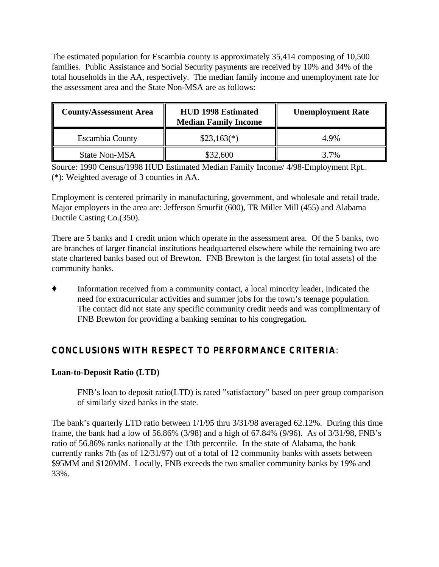The estimated population for Escambia county is approximately 35,414 composing of 10,500 families. Public Assistance and Social Security payments are received by 10% and 34% of the total households in the AA, respectively. The median family income and unemployment rate for the assessment area and the State Non-MSA are as follows:

| <b>County/Assessment Area</b> | <b>HUD 1998 Estimated</b><br><b>Median Family Income</b> | <b>Unemployment Rate</b> |
|-------------------------------|----------------------------------------------------------|--------------------------|
| <b>Escambia County</b>        | $$23,163(*)$                                             | 4.9%                     |
| State Non-MSA                 | \$32,600                                                 | 3.7%                     |

Source: 1990 Census/1998 HUD Estimated Median Family Income/ 4/98-Employment Rpt.. (\*): Weighted average of 3 counties in AA.

Employment is centered primarily in manufacturing, government, and wholesale and retail trade. Major employers in the area are: Jefferson Smurfit (600), TR Miller Mill (455) and Alabama Ductile Casting Co.(350).

There are 5 banks and 1 credit union which operate in the assessment area. Of the 5 banks, two are branches of larger financial institutions headquartered elsewhere while the remaining two are state chartered banks based out of Brewton. FNB Brewton is the largest (in total assets) of the community banks.

Information received from a community contact, a local minority leader, indicated the need for extracurricular activities and summer jobs for the town's teenage population. The contact did not state any specific community credit needs and was complimentary of FNB Brewton for providing a banking seminar to his congregation.

## **CONCLUSIONS WITH RESPECT TO PERFORMANCE CRITERIA**:

## **Loan-to-Deposit Ratio (LTD)**

FNB's loan to deposit ratio(LTD) is rated "satisfactory" based on peer group comparison of similarly sized banks in the state.

The bank's quarterly LTD ratio between 1/1/95 thru 3/31/98 averaged 62.12%. During this time frame, the bank had a low of 56.86% (3/98) and a high of 67.84% (9/96). As of 3/31/98, FNB's ratio of 56.86% ranks nationally at the 13th percentile. In the state of Alabama, the bank currently ranks 7th (as of 12/31/97) out of a total of 12 community banks with assets between \$95MM and \$120MM. Locally, FNB exceeds the two smaller community banks by 19% and 33%.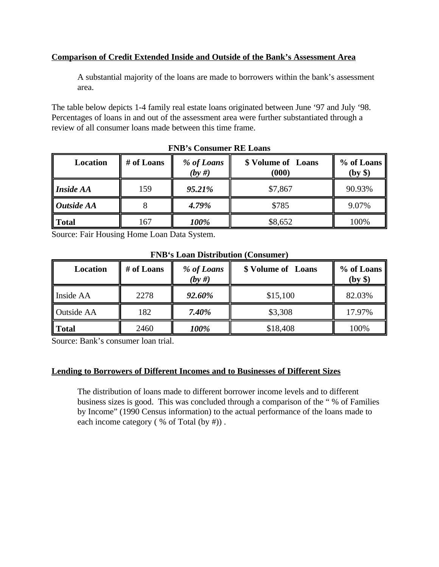## **Comparison of Credit Extended Inside and Outside of the Bank's Assessment Area**

A substantial majority of the loans are made to borrowers within the bank's assessment area.

The table below depicts 1-4 family real estate loans originated between June '97 and July '98. Percentages of loans in and out of the assessment area were further substantiated through a review of all consumer loans made between this time frame.

| Location         | # of Loans | % of Loans<br>(by #) | \$ Volume of Loans<br>(000) | % of Loans<br>(by \$) |
|------------------|------------|----------------------|-----------------------------|-----------------------|
| <b>Inside AA</b> | 159        | 95.21%               | \$7,867                     | 90.93%                |
| Outside AA       |            | 4.79%                | \$785                       | 9.07%                 |
| <b>Total</b>     | 167        | 100%                 | \$8,652                     | 100%                  |

## **FNB's Consumer RE Loans**

Source: Fair Housing Home Loan Data System.

| TIME & Houn Distribution (Computing |            |                         |                                  |        |  |
|-------------------------------------|------------|-------------------------|----------------------------------|--------|--|
| <b>Location</b>                     | # of Loans | % of Loans<br>$(by \#)$ | \$ Volume of Loans<br>% of Loans |        |  |
| Inside AA                           | 2278       | 92.60%                  | \$15,100                         | 82.03% |  |
| Outside AA                          | 182        | 7.40%                   | \$3,308                          | 17.97% |  |
| <b>Total</b>                        | 2460       | 100%                    | \$18,408                         | 100%   |  |

#### **FNB's Loan Distribution (Consumer)**

Source: Bank's consumer loan trial.

#### **Lending to Borrowers of Different Incomes and to Businesses of Different Sizes**

The distribution of loans made to different borrower income levels and to different business sizes is good. This was concluded through a comparison of the " % of Families by Income" (1990 Census information) to the actual performance of the loans made to each income category (% of Total (by #)).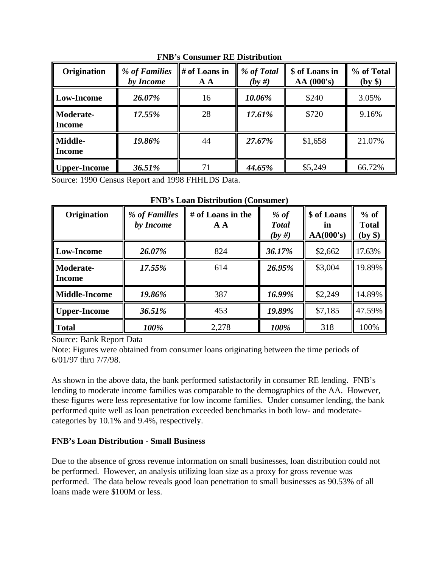| Origination                       | % of Families<br>by Income | # of Loans in<br>A A | % of Total<br>$(by \#)$ | \$ of Loans in<br>AA(000's) | % of Total<br>(by \$) |
|-----------------------------------|----------------------------|----------------------|-------------------------|-----------------------------|-----------------------|
| <b>Low-Income</b>                 | 26.07%                     | 16                   | 10.06%                  | \$240                       | 3.05%                 |
| <b>Moderate-</b><br><b>Income</b> | 17.55%                     | 28                   | 17.61%                  | \$720                       | 9.16%                 |
| Middle-<br><b>Income</b>          | 19.86%                     | 44                   | 27.67%                  | \$1,658                     | 21.07%                |
| Upper-Income                      | 36.51%                     |                      | 44.65%                  | \$5,249                     | 66.72%                |

**FNB's Consumer RE Distribution**

Source: 1990 Census Report and 1998 FHHLDS Data.

| Origination                       | % of Families<br>by Income | # of Loans in the<br>A A | % of<br><b>Total</b><br>$(by \#)$ | \$ of Loans<br>in<br>AA(000's) | $%$ of<br><b>Total</b><br>(by \$) |
|-----------------------------------|----------------------------|--------------------------|-----------------------------------|--------------------------------|-----------------------------------|
| Low-Income                        | 26.07%                     | 824                      | 36.17%                            | \$2,662                        | 17.63%                            |
| <b>Moderate-</b><br><b>Income</b> | 17.55%                     | 614                      | 26.95%                            | \$3,004                        | 19.89%                            |
| <b>Middle-Income</b>              | 19.86%                     | 387                      | 16.99%                            | \$2,249                        | 14.89%                            |
| Upper-Income                      | 36.51%                     | 453                      | 19.89%                            | \$7,185                        | 47.59%                            |
| l Total                           | 100%                       | 2,278                    | 100%                              | 318                            | 100%                              |

**FNB's Loan Distribution (Consumer)**

Source: Bank Report Data

Note: Figures were obtained from consumer loans originating between the time periods of 6/01/97 thru 7/7/98.

As shown in the above data, the bank performed satisfactorily in consumer RE lending. FNB's lending to moderate income families was comparable to the demographics of the AA. However, these figures were less representative for low income families. Under consumer lending, the bank performed quite well as loan penetration exceeded benchmarks in both low- and moderatecategories by 10.1% and 9.4%, respectively.

## **FNB's Loan Distribution - Small Business**

Due to the absence of gross revenue information on small businesses, loan distribution could not be performed. However, an analysis utilizing loan size as a proxy for gross revenue was performed. The data below reveals good loan penetration to small businesses as 90.53% of all loans made were \$100M or less.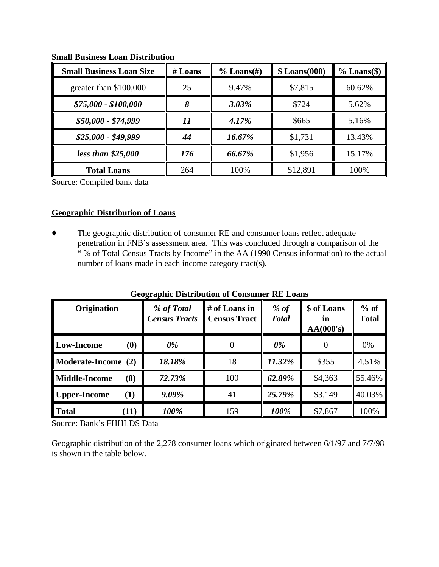| <b>Small Business Loan Size</b> | $#$ Loans | $\%$ Loans(#) | $$$ Loans(000) | $%$ Loans(\$) |
|---------------------------------|-----------|---------------|----------------|---------------|
| greater than \$100,000          | 25        | 9.47%         | \$7,815        | 60.62%        |
| $$75,000 - $100,000$            |           | $3.03\%$      | \$724          | 5.62%         |
| $$50,000 - $74,999$             | 11        | 4.17%         | \$665          | 5.16%         |
| $$25,000 - $49,999$             | 44        | 16.67%        | \$1,731        | 13.43%        |
| less than $$25,000$             | 176       | 66.67%        | \$1,956        | 15.17%        |
| <b>Total Loans</b>              | 264       | 100%          | \$12,891       | 100%          |

**Small Business Loan Distribution**

Source: Compiled bank data

#### **Geographic Distribution of Loans**

 $\blacklozenge$  The geographic distribution of consumer RE and consumer loans reflect adequate penetration in FNB's assessment area. This was concluded through a comparison of the " % of Total Census Tracts by Income" in the AA (1990 Census information) to the actual number of loans made in each income category tract(s).

| Origination                             | % of Total<br><b>Census Tracts</b> | # of Loans in<br><b>Census Tract</b> | $%$ of<br><b>Total</b> | \$ of Loans<br>ın<br>AA(000's) | $%$ of<br><b>Total</b> |
|-----------------------------------------|------------------------------------|--------------------------------------|------------------------|--------------------------------|------------------------|
| <b>Low-Income</b><br>$\boldsymbol{(0)}$ | $0\%$                              | 0                                    | $0\%$                  |                                | 0%                     |
| Moderate-Income (2)                     | 18.18%                             | 18                                   | 11.32%                 | \$355                          | 4.51%                  |
| <b>Middle-Income</b><br>(8)             | 72.73%                             | 100                                  | 62.89%                 | \$4,363                        | 55.46%                 |
| <b>Upper-Income</b><br>$\bf(1)$         | 9.09%                              | 41                                   | 25.79%                 | \$3,149                        | 40.03%                 |
| <b>Total</b><br>(11)                    | 100%                               | 159                                  | 100%                   | \$7,867                        | 100%                   |

**Geographic Distribution of Consumer RE Loans**

Source: Bank's FHHLDS Data

Geographic distribution of the 2,278 consumer loans which originated between 6/1/97 and 7/7/98 is shown in the table below.